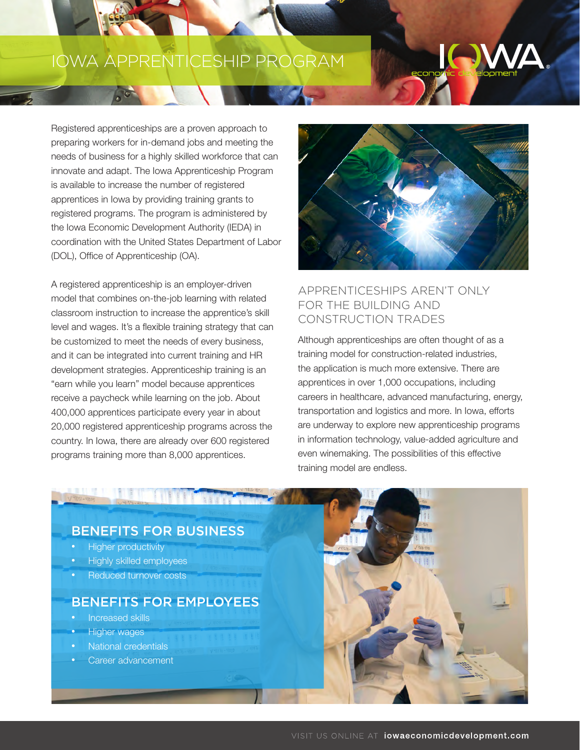# IOWA APPRENTICESHIP PROGRAM

Registered apprenticeships are a proven approach to preparing workers for in-demand jobs and meeting the needs of business for a highly skilled workforce that can innovate and adapt. The Iowa Apprenticeship Program is available to increase the number of registered apprentices in Iowa by providing training grants to registered programs. The program is administered by the Iowa Economic Development Authority (IEDA) in coordination with the United States Department of Labor (DOL), Office of Apprenticeship (OA).

A registered apprenticeship is an employer-driven model that combines on-the-job learning with related classroom instruction to increase the apprentice's skill level and wages. It's a flexible training strategy that can be customized to meet the needs of every business, and it can be integrated into current training and HR development strategies. Apprenticeship training is an "earn while you learn" model because apprentices receive a paycheck while learning on the job. About 400,000 apprentices participate every year in about 20,000 registered apprenticeship programs across the country. In Iowa, there are already over 600 registered programs training more than 8,000 apprentices.



# APPRENTICESHIPS AREN'T ONLY FOR THE BUILDING AND CONSTRUCTION TRADES

Although apprenticeships are often thought of as a training model for construction-related industries, the application is much more extensive. There are apprentices in over 1,000 occupations, including careers in healthcare, advanced manufacturing, energy, transportation and logistics and more. In Iowa, efforts are underway to explore new apprenticeship programs in information technology, value-added agriculture and even winemaking. The possibilities of this effective training model are endless.

## BENEFITS FOR BUSINESS

- Higher productivity
- Highly skilled employees
- Reduced turnover costs

# BENEFITS FOR EMPLOYEES

- Increased skills
- Higher wages
- National credentials
- Career advancement